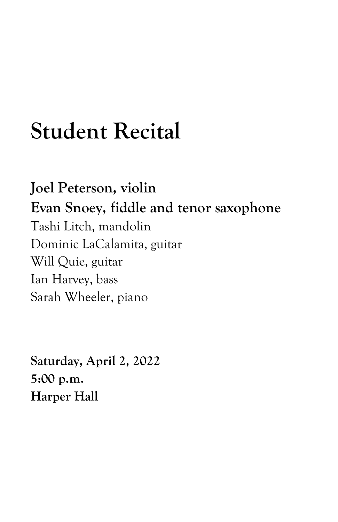## **Student Recital**

**Joel Peterson, violin Evan Snoey, fiddle and tenor saxophone** Tashi Litch, mandolin Dominic LaCalamita, guitar Will Quie, guitar Ian Harvey, bass Sarah Wheeler, piano

**Saturday, April 2, 2022 5:00 p.m. Harper Hall**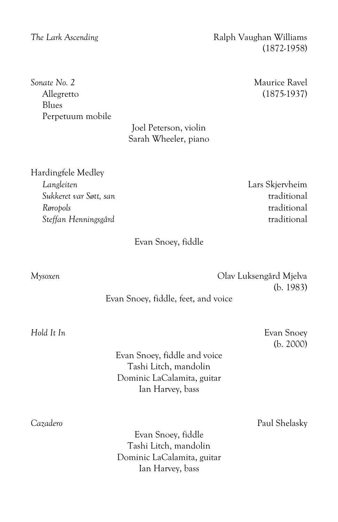**Sonate No. 2** Maurice Ravel Allegretto (1875-1937) Blues Perpetuum mobile

Joel Peterson, violin Sarah Wheeler, piano

Hardingfele Medley *Langleiten* Lars Skjervheim *Sukkeret var Søtt, san* traditional *Røropols* traditional *Steffan Henningsgård* traditional

Evan Snoey, fiddle

*Mysoxen* Olav Luksengård Mjelva (b. 1983)

Evan Snoey, fiddle, feet, and voice

Evan Snoey, fiddle and voice Tashi Litch, mandolin Dominic LaCalamita, guitar Ian Harvey, bass

Evan Snoey, fiddle Tashi Litch, mandolin Dominic LaCalamita, guitar Ian Harvey, bass

*The Lark Ascending* The *Lark Ascending* (1872-1958)

*Hold It In* Evan Snoey (b. 2000)

*Cazadero* Paul Shelasky